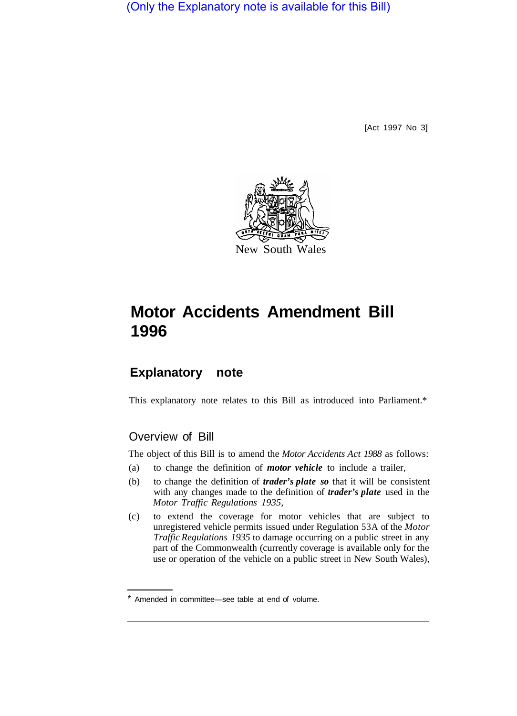(Only the Explanatory note is available for this Bill)

[Act 1997 No 3]



# **Motor Accidents Amendment Bill 1996**

## **Explanatory note**

This explanatory note relates to this Bill as introduced into Parliament.\*

#### Overview of Bill

The object of this Bill is to amend the *Motor Accidents Act 1988* as follows:

- (a) to change the definition of *motor vehicle* to include a trailer,
- (b) to change the definition of *trader's plate so* that it will be consistent with any changes made to the definition of *trader's plate* used in the *Motor Traffic Regulations 1935,*
- (c) to extend the coverage for motor vehicles that are subject to unregistered vehicle permits issued under Regulation 53A of the *Motor Traffic Regulations 1935* to damage occurring on a public street in any part of the Commonwealth (currently coverage is available only for the use or operation of the vehicle on a public street in New South Wales),

Amended in committee—see table at end of volume.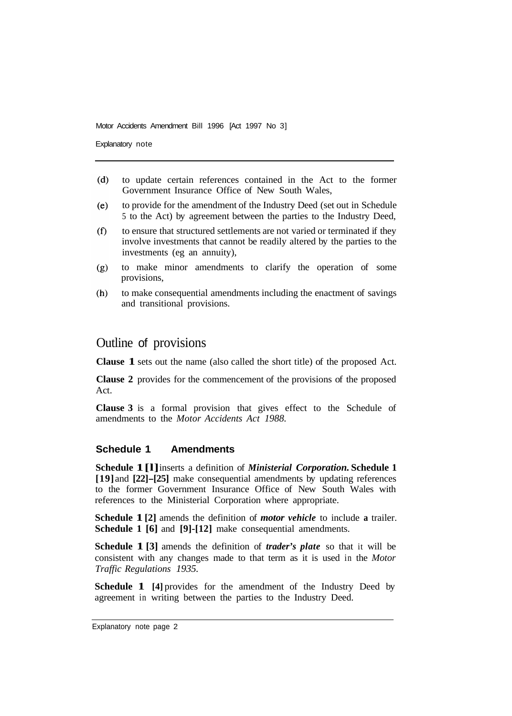Motor Accidents Amendment Bill 1996 [Act 1997 No 3]

Explanatory note

- $(d)$ to update certain references contained in the Act to the former Government Insurance Office of New South Wales,
- $(e)$ to provide for the amendment of the Industry Deed (set out in Schedule 5 to the Act) by agreement between the parties to the Industry Deed,
- to ensure that structured settlements are not varied or terminated if they  $(f)$ involve investments that cannot be readily altered by the parties to the investments (eg an annuity),
- $(g)$ to make minor amendments to clarify the operation of some provisions,
- $(h)$ to make consequential amendments including the enactment of savings and transitional provisions.

### Outline of provisions

**Clause 1** sets out the name (also called the short title) of the proposed Act.

**Clause 2** provides for the commencement of the provisions of the proposed Act.

**Clause 3** is a formal provision that gives effect to the Schedule of amendments to the *Motor Accidents Act 1988.* 

#### **Schedule 1 Amendments**

**Schedule 1[l]** inserts a definition of *Ministerial Corporation.* **Schedule 1 [19]** and **[22]-[25]** make consequential amendments by updating references to the former Government Insurance Office of New South Wales with references to the Ministerial Corporation where appropriate.

**Schedule 1 [2]** amends the definition of *motor vehicle* to include **a** trailer. **Schedule 1 [6]** and **[9]-[12]** make consequential amendments.

**Schedule 1 [3]** amends the definition of *trader's plate* so that it will be consistent with any changes made to that term as it is used in the *Motor Traffic Regulations 1935.* 

**Schedule 1** [4] provides for the amendment of the Industry Deed by agreement in writing between the parties to the Industry Deed.

Explanatory note page 2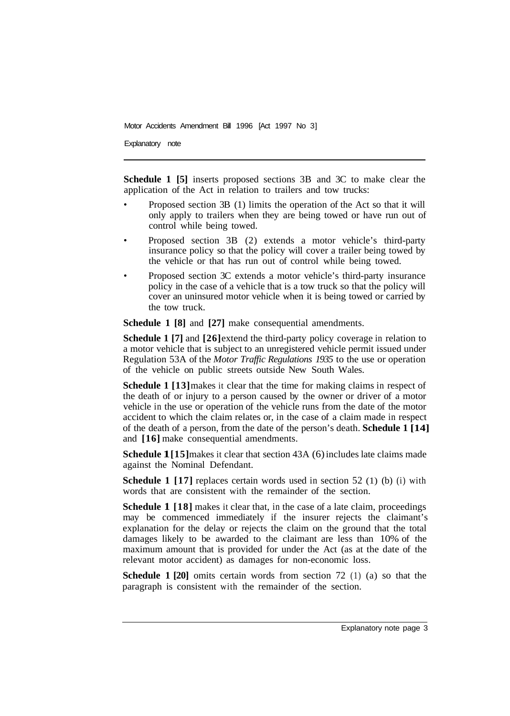Motor Accidents Amendment Bill 1996 [Act 1997 No 3]

Explanatory note

**Schedule 1 [5]** inserts proposed sections 3B and 3C to make clear the application of the Act in relation to trailers and tow trucks:

- Proposed section 3B (1) limits the operation of the Act so that it will only apply to trailers when they are being towed or have run out of control while being towed.
- Proposed section 3B (2) extends a motor vehicle's third-party insurance policy so that the policy will cover a trailer being towed by the vehicle or that has run out of control while being towed.
- Proposed section 3C extends a motor vehicle's third-party insurance policy in the case of a vehicle that is a tow truck so that the policy will cover an uninsured motor vehicle when it is being towed or carried by the tow truck.

**Schedule 1 [8]** and **[27]** make consequential amendments.

**Schedule 1 [7]** and **[26]** extend the third-party policy coverage in relation to a motor vehicle that is subject to an unregistered vehicle permit issued under Regulation 53A of the *Motor Traffic Regulations 1935* to the use or operation of the vehicle on public streets outside New South Wales.

**Schedule 1 [13]** makes it clear that the time for making claims in respect of the death of or injury to a person caused by the owner or driver of a motor vehicle in the use or operation of the vehicle runs from the date of the motor accident to which the claim relates or, in the case of a claim made in respect of the death of a person, from the date of the person's death. **Schedule 1 [14]**  and **[16]** make consequential amendments.

**Schedule 1[15]** makes it clear that section 43A (6) includes late claims made against the Nominal Defendant.

**Schedule 1 [17]** replaces certain words used in section 52 (1) (b) (i) with words that are consistent with the remainder of the section.

**Schedule 1** [18] makes it clear that, in the case of a late claim, proceedings may be commenced immediately if the insurer rejects the claimant's explanation for the delay or rejects the claim on the ground that the total damages likely to be awarded to the claimant are less than 10% of the maximum amount that is provided for under the Act (as at the date of the relevant motor accident) as damages for non-economic loss.

**Schedule 1 [20]** omits certain words from section 72 (1) (a) so that the paragraph is consistent with the remainder of the section.